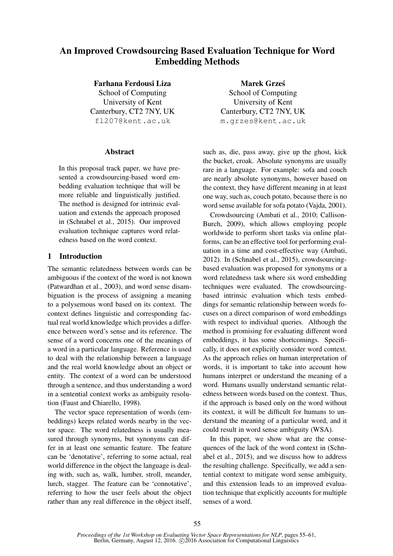# An Improved Crowdsourcing Based Evaluation Technique for Word Embedding Methods

Farhana Ferdousi Liza School of Computing University of Kent Canterbury, CT2 7NY, UK fl207@kent.ac.uk

### Abstract

In this proposal track paper, we have presented a crowdsourcing-based word embedding evaluation technique that will be more reliable and linguistically justified. The method is designed for intrinsic evaluation and extends the approach proposed in (Schnabel et al., 2015). Our improved evaluation technique captures word relatedness based on the word context.

# 1 Introduction

The semantic relatedness between words can be ambiguous if the context of the word is not known (Patwardhan et al., 2003), and word sense disambiguation is the process of assigning a meaning to a polysemous word based on its context. The context defines linguistic and corresponding factual real world knowledge which provides a difference between word's sense and its reference. The sense of a word concerns one of the meanings of a word in a particular language. Reference is used to deal with the relationship between a language and the real world knowledge about an object or entity. The context of a word can be understood through a sentence, and thus understanding a word in a sentential context works as ambiguity resolution (Faust and Chiarello, 1998).

The vector space representation of words (embeddings) keeps related words nearby in the vector space. The word relatedness is usually measured through synonyms, but synonyms can differ in at least one semantic feature. The feature can be 'denotative', referring to some actual, real world difference in the object the language is dealing with, such as, walk, lumber, stroll, meander, lurch, stagger. The feature can be 'connotative', referring to how the user feels about the object rather than any real difference in the object itself,

Marek Grzes´ School of Computing University of Kent Canterbury, CT2 7NY, UK m.grzes@kent.ac.uk

such as, die, pass away, give up the ghost, kick the bucket, croak. Absolute synonyms are usually rare in a language. For example: sofa and couch are nearly absolute synonyms, however based on the context, they have different meaning in at least one way, such as, couch potato, because there is no word sense available for sofa potato (Vajda, 2001).

Crowdsourcing (Ambati et al., 2010; Callison-Burch, 2009), which allows employing people worldwide to perform short tasks via online platforms, can be an effective tool for performing evaluation in a time and cost-effective way (Ambati, 2012). In (Schnabel et al., 2015), crowdsourcingbased evaluation was proposed for synonyms or a word relatedness task where six word embedding techniques were evaluated. The crowdsourcingbased intrinsic evaluation which tests embeddings for semantic relationship between words focuses on a direct comparison of word embeddings with respect to individual queries. Although the method is promising for evaluating different word embeddings, it has some shortcomings. Specifically, it does not explicitly consider word context. As the approach relies on human interpretation of words, it is important to take into account how humans interpret or understand the meaning of a word. Humans usually understand semantic relatedness between words based on the context. Thus, if the approach is based only on the word without its context, it will be difficult for humans to understand the meaning of a particular word, and it could result in word sense ambiguity (WSA).

In this paper, we show what are the consequences of the lack of the word context in (Schnabel et al., 2015), and we discuss how to address the resulting challenge. Specifically, we add a sentential context to mitigate word sense ambiguity, and this extension leads to an improved evaluation technique that explicitly accounts for multiple senses of a word.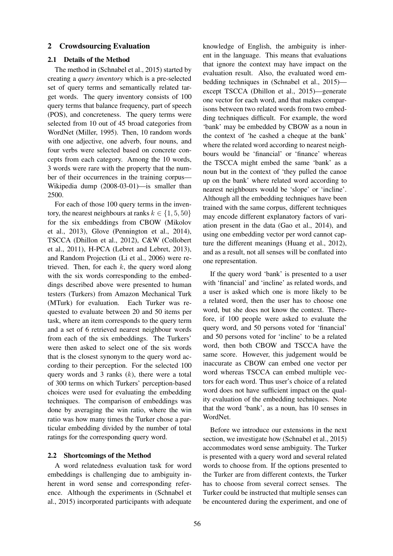### 2 Crowdsourcing Evaluation

### 2.1 Details of the Method

The method in (Schnabel et al., 2015) started by creating a *query inventory* which is a pre-selected set of query terms and semantically related target words. The query inventory consists of 100 query terms that balance frequency, part of speech (POS), and concreteness. The query terms were selected from 10 out of 45 broad categories from WordNet (Miller, 1995). Then, 10 random words with one adjective, one adverb, four nouns, and four verbs were selected based on concrete concepts from each category. Among the 10 words, 3 words were rare with the property that the number of their occurrences in the training corpus— Wikipedia dump (2008-03-01)—is smaller than 2500.

For each of those 100 query terms in the inventory, the nearest neighbours at ranks  $k \in \{1, 5, 50\}$ for the six embeddings from CBOW (Mikolov et al., 2013), Glove (Pennington et al., 2014), TSCCA (Dhillon et al., 2012), C&W (Collobert et al., 2011), H-PCA (Lebret and Lebret, 2013), and Random Projection (Li et al., 2006) were retrieved. Then, for each  $k$ , the query word along with the six words corresponding to the embeddings described above were presented to human testers (Turkers) from Amazon Mechanical Turk (MTurk) for evaluation. Each Turker was requested to evaluate between 20 and 50 items per task, where an item corresponds to the query term and a set of 6 retrieved nearest neighbour words from each of the six embeddings. The Turkers' were then asked to select one of the six words that is the closest synonym to the query word according to their perception. For the selected 100 query words and 3 ranks  $(k)$ , there were a total of 300 terms on which Turkers' perception-based choices were used for evaluating the embedding techniques. The comparison of embeddings was done by averaging the win ratio, where the win ratio was how many times the Turker chose a particular embedding divided by the number of total ratings for the corresponding query word.

### 2.2 Shortcomings of the Method

A word relatedness evaluation task for word embeddings is challenging due to ambiguity inherent in word sense and corresponding reference. Although the experiments in (Schnabel et al., 2015) incorporated participants with adequate knowledge of English, the ambiguity is inherent in the language. This means that evaluations that ignore the context may have impact on the evaluation result. Also, the evaluated word embedding techniques in (Schnabel et al., 2015) except TSCCA (Dhillon et al., 2015)—generate one vector for each word, and that makes comparisons between two related words from two embedding techniques difficult. For example, the word 'bank' may be embedded by CBOW as a noun in the context of 'he cashed a cheque at the bank' where the related word according to nearest neighbours would be 'financial' or 'finance' whereas the TSCCA might embed the same 'bank' as a noun but in the context of 'they pulled the canoe up on the bank' where related word according to nearest neighbours would be 'slope' or 'incline'. Although all the embedding techniques have been trained with the same corpus, different techniques may encode different explanatory factors of variation present in the data (Gao et al., 2014), and using one embedding vector per word cannot capture the different meanings (Huang et al., 2012), and as a result, not all senses will be conflated into one representation.

If the query word 'bank' is presented to a user with 'financial' and 'incline' as related words, and a user is asked which one is more likely to be a related word, then the user has to choose one word, but she does not know the context. Therefore, if 100 people were asked to evaluate the query word, and 50 persons voted for 'financial' and 50 persons voted for 'incline' to be a related word, then both CBOW and TSCCA have the same score. However, this judgement would be inaccurate as CBOW can embed one vector per word whereas TSCCA can embed multiple vectors for each word. Thus user's choice of a related word does not have sufficient impact on the quality evaluation of the embedding techniques. Note that the word 'bank', as a noun, has 10 senses in WordNet.

Before we introduce our extensions in the next section, we investigate how (Schnabel et al., 2015) accommodates word sense ambiguity. The Turker is presented with a query word and several related words to choose from. If the options presented to the Turker are from different contexts, the Turker has to choose from several correct senses. The Turker could be instructed that multiple senses can be encountered during the experiment, and one of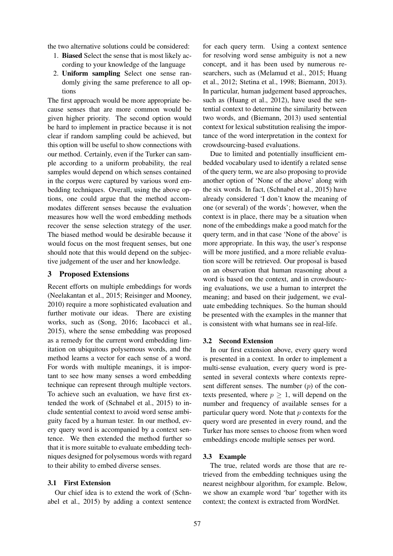the two alternative solutions could be considered:

- 1. Biased Select the sense that is most likely according to your knowledge of the language
- 2. Uniform sampling Select one sense randomly giving the same preference to all options

The first approach would be more appropriate because senses that are more common would be given higher priority. The second option would be hard to implement in practice because it is not clear if random sampling could be achieved, but this option will be useful to show connections with our method. Certainly, even if the Turker can sample according to a uniform probability, the real samples would depend on which senses contained in the corpus were captured by various word embedding techniques. Overall, using the above options, one could argue that the method accommodates different senses because the evaluation measures how well the word embedding methods recover the sense selection strategy of the user. The biased method would be desirable because it would focus on the most frequent senses, but one should note that this would depend on the subjective judgement of the user and her knowledge.

### 3 Proposed Extensions

Recent efforts on multiple embeddings for words (Neelakantan et al., 2015; Reisinger and Mooney, 2010) require a more sophisticated evaluation and further motivate our ideas. There are existing works, such as (Song, 2016; Iacobacci et al., 2015), where the sense embedding was proposed as a remedy for the current word embedding limitation on ubiquitous polysemous words, and the method learns a vector for each sense of a word. For words with multiple meanings, it is important to see how many senses a word embedding technique can represent through multiple vectors. To achieve such an evaluation, we have first extended the work of (Schnabel et al., 2015) to include sentential context to avoid word sense ambiguity faced by a human tester. In our method, every query word is accompanied by a context sentence. We then extended the method further so that it is more suitable to evaluate embedding techniques designed for polysemous words with regard to their ability to embed diverse senses.

#### 3.1 First Extension

Our chief idea is to extend the work of (Schnabel et al., 2015) by adding a context sentence for each query term. Using a context sentence for resolving word sense ambiguity is not a new concept, and it has been used by numerous researchers, such as (Melamud et al., 2015; Huang et al., 2012; Stetina et al., 1998; Biemann, 2013). In particular, human judgement based approaches, such as (Huang et al., 2012), have used the sentential context to determine the similarity between two words, and (Biemann, 2013) used sentential context for lexical substitution realising the importance of the word interpretation in the context for crowdsourcing-based evaluations.

Due to limited and potentially insufficient embedded vocabulary used to identify a related sense of the query term, we are also proposing to provide another option of 'None of the above' along with the six words. In fact, (Schnabel et al., 2015) have already considered 'I don't know the meaning of one (or several) of the words'; however, when the context is in place, there may be a situation when none of the embeddings make a good match for the query term, and in that case 'None of the above' is more appropriate. In this way, the user's response will be more justified, and a more reliable evaluation score will be retrieved. Our proposal is based on an observation that human reasoning about a word is based on the context, and in crowdsourcing evaluations, we use a human to interpret the meaning; and based on their judgement, we evaluate embedding techniques. So the human should be presented with the examples in the manner that is consistent with what humans see in real-life.

#### 3.2 Second Extension

In our first extension above, every query word is presented in a context. In order to implement a multi-sense evaluation, every query word is presented in several contexts where contexts represent different senses. The number  $(p)$  of the contexts presented, where  $p \geq 1$ , will depend on the number and frequency of available senses for a particular query word. Note that  $p$  contexts for the query word are presented in every round, and the Turker has more senses to choose from when word embeddings encode multiple senses per word.

#### 3.3 Example

The true, related words are those that are retrieved from the embedding techniques using the nearest neighbour algorithm, for example. Below, we show an example word 'bar' together with its context; the context is extracted from WordNet.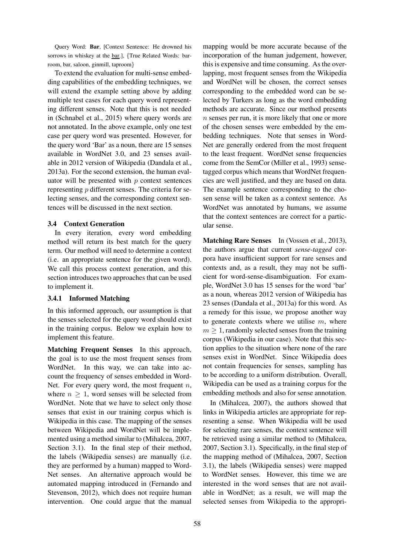Query Word: Bar, [Context Sentence: He drowned his sorrows in whiskey at the bar.], {True Related Words: barroom, bar, saloon, ginmill, taproom}

To extend the evaluation for multi-sense embedding capabilities of the embedding techniques, we will extend the example setting above by adding multiple test cases for each query word representing different senses. Note that this is not needed in (Schnabel et al., 2015) where query words are not annotated. In the above example, only one test case per query word was presented. However, for the query word 'Bar' as a noun, there are 15 senses available in WordNet 3.0, and 23 senses available in 2012 version of Wikipedia (Dandala et al., 2013a). For the second extension, the human evaluator will be presented with  $p$  context sentences representing p different senses. The criteria for selecting senses, and the corresponding context sentences will be discussed in the next section.

### 3.4 Context Generation

In every iteration, every word embedding method will return its best match for the query term. Our method will need to determine a context (i.e. an appropriate sentence for the given word). We call this process context generation, and this section introduces two approaches that can be used to implement it.

# 3.4.1 Informed Matching

In this informed approach, our assumption is that the senses selected for the query word should exist in the training corpus. Below we explain how to implement this feature.

Matching Frequent Senses In this approach, the goal is to use the most frequent senses from WordNet. In this way, we can take into account the frequency of senses embedded in Word-Net. For every query word, the most frequent  $n$ , where  $n > 1$ , word senses will be selected from WordNet. Note that we have to select only those senses that exist in our training corpus which is Wikipedia in this case. The mapping of the senses between Wikipedia and WordNet will be implemented using a method similar to (Mihalcea, 2007, Section 3.1). In the final step of their method, the labels (Wikipedia senses) are manually (i.e. they are performed by a human) mapped to Word-Net senses. An alternative approach would be automated mapping introduced in (Fernando and Stevenson, 2012), which does not require human intervention. One could argue that the manual mapping would be more accurate because of the incorporation of the human judgement, however, this is expensive and time consuming. As the overlapping, most frequent senses from the Wikipedia and WordNet will be chosen, the correct senses corresponding to the embedded word can be selected by Turkers as long as the word embedding methods are accurate. Since our method presents n senses per run, it is more likely that one or more of the chosen senses were embedded by the embedding techniques. Note that senses in Word-Net are generally ordered from the most frequent to the least frequent. WordNet sense frequencies come from the SemCor (Miller et al., 1993) sensetagged corpus which means that WordNet frequencies are well justified, and they are based on data. The example sentence corresponding to the chosen sense will be taken as a context sentence. As WordNet was annotated by humans, we assume that the context sentences are correct for a particular sense.

Matching Rare Senses In (Vossen et al., 2013), the authors argue that current *sense-tagged* corpora have insufficient support for rare senses and contexts and, as a result, they may not be sufficient for word-sense-disambiguation. For example, WordNet 3.0 has 15 senses for the word 'bar' as a noun, whereas 2012 version of Wikipedia has 23 senses (Dandala et al., 2013a) for this word. As a remedy for this issue, we propose another way to generate contexts where we utilise  $m$ , where  $m > 1$ , randomly selected senses from the training corpus (Wikipedia in our case). Note that this section applies to the situation where none of the rare senses exist in WordNet. Since Wikipedia does not contain frequencies for senses, sampling has to be according to a uniform distribution. Overall, Wikipedia can be used as a training corpus for the embedding methods and also for sense annotation.

In (Mihalcea, 2007), the authors showed that links in Wikipedia articles are appropriate for representing a sense. When Wikipedia will be used for selecting rare senses, the context sentence will be retrieved using a similar method to (Mihalcea, 2007, Section 3.1). Specifically, in the final step of the mapping method of (Mihalcea, 2007, Section 3.1), the labels (Wikipedia senses) were mapped to WordNet senses. However, this time we are interested in the word senses that are not available in WordNet; as a result, we will map the selected senses from Wikipedia to the appropri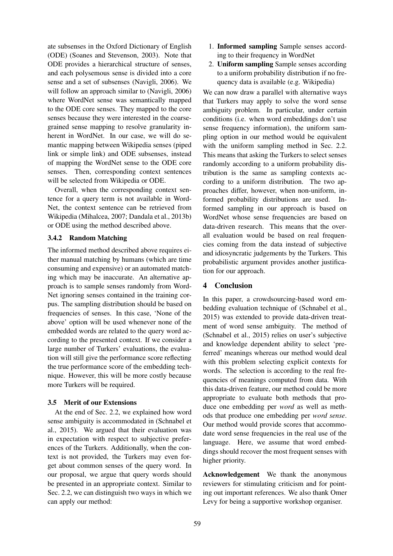ate subsenses in the Oxford Dictionary of English (ODE) (Soanes and Stevenson, 2003). Note that ODE provides a hierarchical structure of senses, and each polysemous sense is divided into a core sense and a set of subsenses (Navigli, 2006). We will follow an approach similar to (Navigli, 2006) where WordNet sense was semantically mapped to the ODE core senses. They mapped to the core senses because they were interested in the coarsegrained sense mapping to resolve granularity inherent in WordNet. In our case, we will do semantic mapping between Wikipedia senses (piped link or simple link) and ODE subsenses, instead of mapping the WordNet sense to the ODE core senses. Then, corresponding context sentences will be selected from Wikipedia or ODE.

Overall, when the corresponding context sentence for a query term is not available in Word-Net, the context sentence can be retrieved from Wikipedia (Mihalcea, 2007; Dandala et al., 2013b) or ODE using the method described above.

# 3.4.2 Random Matching

The informed method described above requires either manual matching by humans (which are time consuming and expensive) or an automated matching which may be inaccurate. An alternative approach is to sample senses randomly from Word-Net ignoring senses contained in the training corpus. The sampling distribution should be based on frequencies of senses. In this case, 'None of the above' option will be used whenever none of the embedded words are related to the query word according to the presented context. If we consider a large number of Turkers' evaluations, the evaluation will still give the performance score reflecting the true performance score of the embedding technique. However, this will be more costly because more Turkers will be required.

# 3.5 Merit of our Extensions

At the end of Sec. 2.2, we explained how word sense ambiguity is accommodated in (Schnabel et al., 2015). We argued that their evaluation was in expectation with respect to subjective preferences of the Turkers. Additionally, when the context is not provided, the Turkers may even forget about common senses of the query word. In our proposal, we argue that query words should be presented in an appropriate context. Similar to Sec. 2.2, we can distinguish two ways in which we can apply our method:

- 1. Informed sampling Sample senses according to their frequency in WordNet
- 2. Uniform sampling Sample senses according to a uniform probability distribution if no frequency data is available (e.g. Wikipedia)

We can now draw a parallel with alternative ways that Turkers may apply to solve the word sense ambiguity problem. In particular, under certain conditions (i.e. when word embeddings don't use sense frequency information), the uniform sampling option in our method would be equivalent with the uniform sampling method in Sec. 2.2. This means that asking the Turkers to select senses randomly according to a uniform probability distribution is the same as sampling contexts according to a uniform distribution. The two approaches differ, however, when non-uniform, informed probability distributions are used. Informed sampling in our approach is based on WordNet whose sense frequencies are based on data-driven research. This means that the overall evaluation would be based on real frequencies coming from the data instead of subjective and idiosyncratic judgements by the Turkers. This probabilistic argument provides another justification for our approach.

# 4 Conclusion

In this paper, a crowdsourcing-based word embedding evaluation technique of (Schnabel et al., 2015) was extended to provide data-driven treatment of word sense ambiguity. The method of (Schnabel et al., 2015) relies on user's subjective and knowledge dependent ability to select 'preferred' meanings whereas our method would deal with this problem selecting explicit contexts for words. The selection is according to the real frequencies of meanings computed from data. With this data-driven feature, our method could be more appropriate to evaluate both methods that produce one embedding per *word* as well as methods that produce one embedding per *word sense*. Our method would provide scores that accommodate word sense frequencies in the real use of the language. Here, we assume that word embeddings should recover the most frequent senses with higher priority.

Acknowledgement We thank the anonymous reviewers for stimulating criticism and for pointing out important references. We also thank Omer Levy for being a supportive workshop organiser.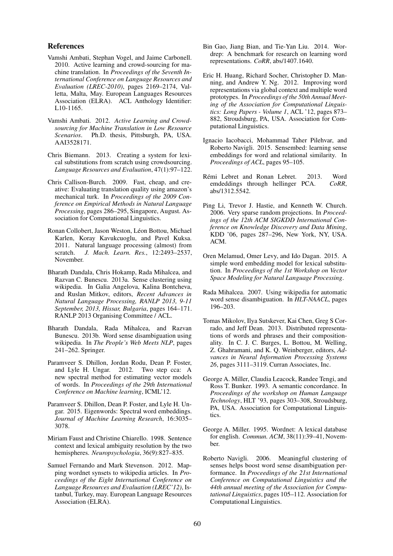### References

- Vamshi Ambati, Stephan Vogel, and Jaime Carbonell. 2010. Active learning and crowd-sourcing for machine translation. In *Proceedings of the Seventh International Conference on Language Resources and Evaluation (LREC-2010)*, pages 2169–2174, Valletta, Malta, May. European Languages Resources Association (ELRA). ACL Anthology Identifier: L10-1165.
- Vamshi Ambati. 2012. *Active Learning and Crowdsourcing for Machine Translation in Low Resource Scenarios*. Ph.D. thesis, Pittsburgh, PA, USA. AAI3528171.
- Chris Biemann. 2013. Creating a system for lexical substitutions from scratch using crowdsourcing. *Language Resources and Evaluation*, 47(1):97–122.
- Chris Callison-Burch. 2009. Fast, cheap, and creative: Evaluating translation quality using amazon's mechanical turk. In *Proceedings of the 2009 Conference on Empirical Methods in Natural Language Processing*, pages 286–295, Singapore, August. Association for Computational Linguistics.
- Ronan Collobert, Jason Weston, Léon Bottou, Michael Karlen, Koray Kavukcuoglu, and Pavel Kuksa. 2011. Natural language processing (almost) from scratch. *J. Mach. Learn. Res.*, 12:2493–2537, November.
- Bharath Dandala, Chris Hokamp, Rada Mihalcea, and Razvan C. Bunescu. 2013a. Sense clustering using wikipedia. In Galia Angelova, Kalina Bontcheva, and Ruslan Mitkov, editors, *Recent Advances in Natural Language Processing, RANLP 2013, 9-11 September, 2013, Hissar, Bulgaria*, pages 164–171. RANLP 2013 Organising Committee / ACL.
- Bharath Dandala, Rada Mihalcea, and Razvan Bunescu. 2013b. Word sense disambiguation using wikipedia. In *The People's Web Meets NLP*, pages 241–262. Springer.
- Paramveer S. Dhillon, Jordan Rodu, Dean P. Foster, and Lyle H. Ungar. 2012. Two step cca: A new spectral method for estimating vector models of words. In *Proceedings of the 29th International Conference on Machine learning*, ICML'12.
- Paramveer S. Dhillon, Dean P. Foster, and Lyle H. Ungar. 2015. Eigenwords: Spectral word embeddings. *Journal of Machine Learning Research*, 16:3035– 3078.
- Miriam Faust and Christine Chiarello. 1998. Sentence context and lexical ambiguity resolution by the two hemispheres. *Neuropsychologia*, 36(9):827–835.
- Samuel Fernando and Mark Stevenson. 2012. Mapping wordnet synsets to wikipedia articles. In *Proceedings of the Eight International Conference on Language Resources and Evaluation (LREC'12)*, Istanbul, Turkey, may. European Language Resources Association (ELRA).
- Bin Gao, Jiang Bian, and Tie-Yan Liu. 2014. Wordrep: A benchmark for research on learning word representations. *CoRR*, abs/1407.1640.
- Eric H. Huang, Richard Socher, Christopher D. Manning, and Andrew Y. Ng. 2012. Improving word representations via global context and multiple word prototypes. In *Proceedings of the 50th Annual Meeting of the Association for Computational Linguistics: Long Papers - Volume 1*, ACL '12, pages 873– 882, Stroudsburg, PA, USA. Association for Computational Linguistics.
- Ignacio Iacobacci, Mohammad Taher Pilehvar, and Roberto Navigli. 2015. Sensembed: learning sense embeddings for word and relational similarity. In *Proceedings of ACL*, pages 95–105.
- Rémi Lebret and Ronan Lebret. 2013. Word<br>emdeddings through hellinger PCA. CoRR, emdeddings through hellinger PCA. abs/1312.5542.
- Ping Li, Trevor J. Hastie, and Kenneth W. Church. 2006. Very sparse random projections. In *Proceedings of the 12th ACM SIGKDD International Conference on Knowledge Discovery and Data Mining*, KDD '06, pages 287–296, New York, NY, USA. ACM.
- Oren Melamud, Omer Levy, and Ido Dagan. 2015. A simple word embedding model for lexical substitution. In *Proceedings of the 1st Workshop on Vector Space Modeling for Natural Language Processing*.
- Rada Mihalcea. 2007. Using wikipedia for automatic word sense disambiguation. In *HLT-NAACL*, pages 196–203.
- Tomas Mikolov, Ilya Sutskever, Kai Chen, Greg S Corrado, and Jeff Dean. 2013. Distributed representations of words and phrases and their compositionality. In C. J. C. Burges, L. Bottou, M. Welling, Z. Ghahramani, and K. Q. Weinberger, editors, *Advances in Neural Information Processing Systems 26*, pages 3111–3119. Curran Associates, Inc.
- George A. Miller, Claudia Leacock, Randee Tengi, and Ross T. Bunker. 1993. A semantic concordance. In *Proceedings of the workshop on Human Language Technology*, HLT '93, pages 303–308, Stroudsburg, PA, USA. Association for Computational Linguistics.
- George A. Miller. 1995. Wordnet: A lexical database for english. *Commun. ACM*, 38(11):39–41, November.
- Roberto Navigli. 2006. Meaningful clustering of senses helps boost word sense disambiguation performance. In *Proceedings of the 21st International Conference on Computational Linguistics and the 44th annual meeting of the Association for Computational Linguistics*, pages 105–112. Association for Computational Linguistics.